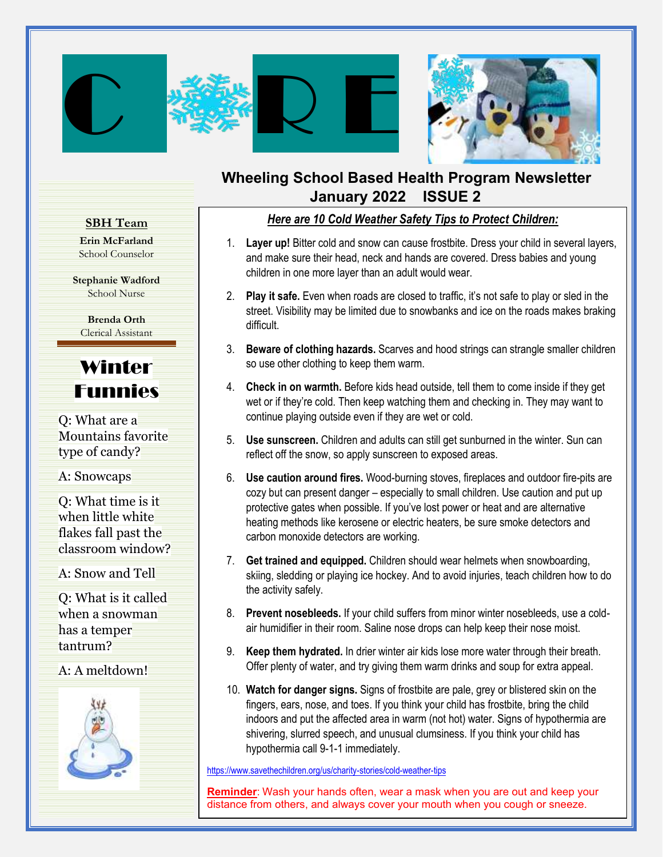



### **Wheeling School Based Health Program Newsletter January 2022 ISSUE 2**

### **SBH Team**

**Erin McFarland** School Counselor

**Stephanie Wadford** School Nurse

**Brenda Orth** Clerical Assistant

# Winter Funnies

Q: What are a Mountains favorite type of candy?

A: Snowcaps

Q: What time is it when little white flakes fall past the classroom window?

A: Snow and Tell

Q: What is it called when a snowman has a temper tantrum?

### A: A meltdown!



### *Here are 10 Cold Weather Safety Tips to Protect Children:*

- 1. **Layer up!** Bitter cold and snow can cause frostbite. Dress your child in several layers, and make sure their head, neck and hands are covered. Dress babies and young children in one more layer than an adult would wear.
- 2. **Play it safe.** Even when roads are closed to traffic, it's not safe to play or sled in the street. Visibility may be limited due to snowbanks and ice on the roads makes braking difficult.
- 3. **Beware of clothing hazards.** Scarves and hood strings can strangle smaller children so use other clothing to keep them warm.
- 4. **Check in on warmth.** Before kids head outside, tell them to come inside if they get wet or if they're cold. Then keep watching them and checking in. They may want to continue playing outside even if they are wet or cold.
- 5. **Use sunscreen.** Children and adults can still get sunburned in the winter. Sun can reflect off the snow, so apply sunscreen to exposed areas.
- 6. **Use caution around fires.** Wood-burning stoves, fireplaces and outdoor fire-pits are cozy but can present danger – especially to small children. Use caution and put up protective gates when possible. If you've lost power or heat and are alternative heating methods like kerosene or electric heaters, be sure smoke detectors and carbon monoxide detectors are working.
- 7. **Get trained and equipped.** Children should wear helmets when snowboarding, skiing, sledding or playing ice hockey. And to avoid injuries, teach children how to do the activity safely.
- 8. **Prevent nosebleeds.** If your child suffers from minor winter nosebleeds, use a coldair humidifier in their room. Saline nose drops can help keep their nose moist.
- Offer plenty of water, and try giving them warm drinks and soup for extra appeal. 9. **Keep them hydrated.** In drier winter air kids lose more water through their breath.
- For tracenter and get eight engine of incending and parts, give a meter of our think<br>fingers, ears, nose, and toes. If you think your child has frostbite, bring the child 10. **Watch for danger signs.** Signs of frostbite are [pale, grey or blistered skin on th](https://images.search.yahoo.com/images/view;_ylt=AwrJ6wr87m1gE8sAkf02nIlQ;_ylu=c2VjA3NyBHNsawNpbWcEb2lkAzlmMWY2OWUzMTMzYjAwODRjYTY1YzQzNDdhMGZmMTkzBGdwb3MDNwRpdANiaW5n?back=https%3A%2F%2Fimages.search.yahoo.com%2Fyhs%2Fsearch%3Fp%3Dclip%2Bart%2Bof%2Bschools%26ei%3DUTF-8%26type%3Dem_appfocus1_ie%26fr%3Dyhs-pty-pty_email%26hsimp%3Dyhs-pty_email%26hspart%3Dpty%26param1%3D20190723%26param2%3Dcdb2a2c0-64e2-4873-8086-aea72896ca6b%26param3%3Demail_%257EUS%257Eappfocus1%257E%26param4%3Ds-ccc4-lp0-cp_1708882479-bb8-iei%257EMSIE%257Ecan%2Byou%2Bbe%2Ba%2Bcarrier%2Bfor%2Bcovid%2Bafter%2Btwo%2Bshots%257ED41D8CD98F00B204E9800998ECF8427E%257EWin10%26tab%3Dorganic%26ri%3D7&w=2400&h=1387&imgurl=clipartix.com%2Fwp-content%2Fuploads%2F2017%2F07%2FSchool-clipart-free-clip-art-images.png&rurl=https%3A%2F%2Fclipartix.com%2Fschool-clipart-image-50391%2F&size=489.2KB&p=clip+art+of+schools&oid=9f1f69e3133b0084ca65c4347a0ff193&fr2=&fr=yhs-pty-pty_email&tt=School+clipart+free+clip+art+images+-+Clipartix&b=0&ni=120&no=7&ts=&tab=organic&sigr=1VT5jbXByLb.&sigb=WEGw12wT_vxm&sigi=uKcPIyfEb_Y9&sigt=LwTqPBdEiL4c&.crumb=9JJEkE0pymE&fr=yhs-pty-pty_email&hsimp=yhs-pty_email&hspart=pty&type=em_appfocus1_ie¶m1=20190723¶m2=cdb2a2c0-64e2-4873-8086-aea72896ca6b¶m3=email_%7EUS%7Eappfocus1%7E¶m4=s-ccc4-lp0-cp_1708882479-bb8-iei%7EMSIE%7Ecan+you+be+a+carrier+for+covid+after+two+shots%7ED41D8CD98F00B204E9800998ECF8427E%7EWin10)e indoors and put the affected area in warm (not hot) water. Signs of hypothermia are shivering, slurred speech, and unusual clumsiness. If you think your child has hypothermia call 9-1-1 immediately.

<https://www.savethechildren.org/us/charity-stories/cold-weather-tips>

**Reminder**: Wash your hands often, wear a mask when you are out and keep your distance from others, and always cover your mouth when you cough or sneeze.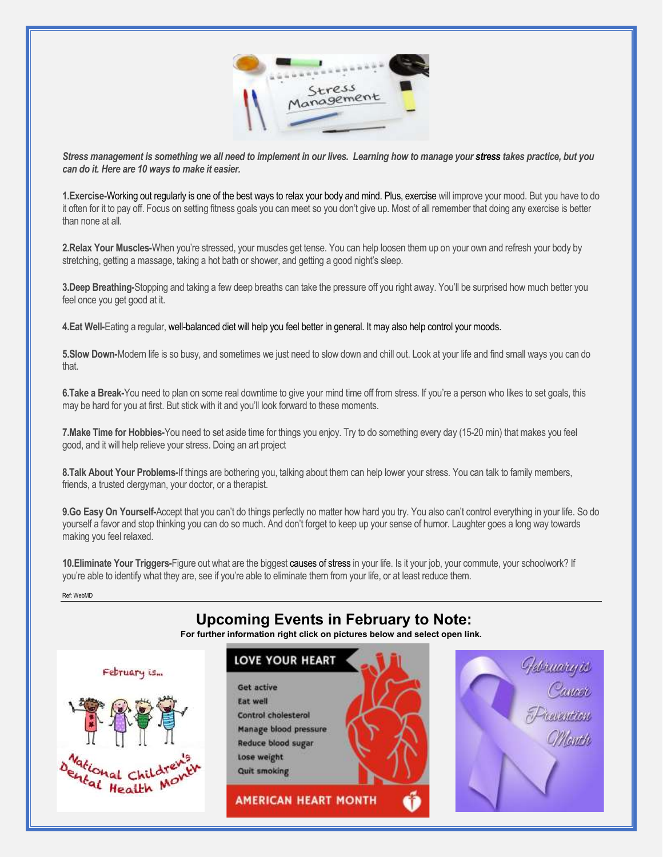

*Stress management is something we all need to implement in our lives. Learning how to manage your [stress](https://www.webmd.com/balance/stress-management/default.htm) takes practice, but you can do it. Here are 10 ways to make it easier.*

**1.Exercise-**[Working out](https://www.webmd.com/fitness-exercise/default.htm) regularly is one of the best ways to relax your body and mind. Plus, [exercise](https://www.webmd.com/fitness-exercise/ss/slideshow-7-most-effective-exercises) will improve your mood. But you have to do it often for it to pay off. Focus on setting fitness goals you can meet so you don't give up. Most of all remember that doing any exercise is better than none at all.

**2.Relax Your Muscles-**When you're stressed, your muscles get tense. You can help loosen them up on your own and refresh your body by stretching, getting a massage, taking a hot bath or shower, and getting a good night's sleep.

**3.Deep Breathing-**Stopping and taking a few deep breaths can take the pressure off you right away. You'll be surprised how much better you feel once you get good at it.

**4.Eat Well-**Eating a regular, wel[l-balanced diet](https://www.webmd.com/diet/default.htm) will help you feel better in general. It may also help control your [moods.](https://www.webmd.com/balance/rm-quiz-moods)

**5.Slow Down-**Modern life is so busy, and sometimes we just need to slow down and chill out. Look at your life and find small ways you can do that.

**6.Take a Break-**You need to plan on some real downtime to give your mind time off from stress. If you're a person who likes to set goals, this may be hard for you at first. But stick with it and you'll look forward to these moments.

**7.Make Time for Hobbies-**You need to set aside time for things you enjoy. Try to do something every day (15-20 min) that makes you feel good, and it will help relieve your stress. Doing an art project

**8.Talk About Your Problems-**If things are bothering you, talking about them can help lower your stress. You can talk to family members, friends, a trusted clergyman, your doctor, or a therapist.

**9.Go Easy On Yourself-**Accept that you can't do things perfectly no matter how hard you try. You also can't control everything in your life. So do yourself a favor and stop thinking you can do so much. And don't forget to keep up your sense of humor. Laughter goes a long way towards making you feel relaxed.

**10.Eliminate Your Triggers-**Figure out what are the biggest [causes of stress](https://www.webmd.com/balance/stress-management/stress-management-causes-of-stress) in your life. Is it your job, your commute, your schoolwork? If you're able to identify what they are, see if you're able to eliminate them from your life, or at least reduce them.

Ref: WebMD

## **Upcoming Events in February to Note:**

**For further information right click on pictures below and select open link.**